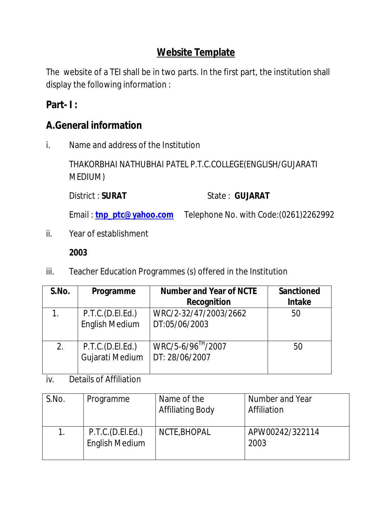# **Website Template**

The website of a TEI shall be in two parts. In the first part, the institution shall display the following information :

# **Part- I :**

# **A.General information**

i. Name and address of the Institution

THAKORBHAI NATHUBHAI PATEL P.T.C.COLLEGE(ENGLISH/GUJARATI MEDIUM)

District : **SURAT** State : **GUJARAT** 

Email: **tnp\_ptc@yahoo.com** Telephone No. with Code:(0261)2262992

ii. Year of establishment

### **2003**

iii. Teacher Education Programmes (s) offered in the Institution

| S.No. | Programme                                   | <b>Number and Year of NCTE</b><br><b>Recognition</b> | <b>Sanctioned</b><br><b>Intake</b> |
|-------|---------------------------------------------|------------------------------------------------------|------------------------------------|
|       | P.T.C.(D.E.I.E.d.)<br><b>English Medium</b> | WRC/2-32/47/2003/2662<br>DT:05/06/2003               | 50                                 |
| 2.    | P.T.C.(D.E.I.Ed.)<br>Gujarati Medium        | WRC/5-6/96 <sup>TH</sup> /2007<br>DT: 28/06/2007     | 50                                 |

iv. Details of Affiliation

| S.No. | Programme                                 | Name of the<br><b>Affiliating Body</b> | Number and Year<br>Affiliation |
|-------|-------------------------------------------|----------------------------------------|--------------------------------|
|       | P.T.C.(D.EI.Ed.)<br><b>English Medium</b> | NCTE, BHOPAL                           | APW00242/322114<br>2003        |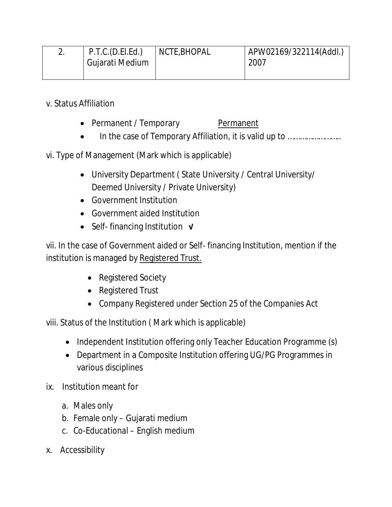| P.T.C.(D.E.I.Ed.) | NCTE, BHOPAL | APW02169/322114(Addl.) |
|-------------------|--------------|------------------------|
| Gujarati Medium   |              | 2007                   |
|                   |              |                        |

v. Status Affiliation

- Permanent / Temporary Permanent
- In the case of Temporary Affiliation, it is valid up to ………………………

vi. Type of Management (Mark which is applicable)

- University Department ( State University / Central University/ Deemed University / Private University)
- Government Institution
- Government aided Institution
- Self- financing Institution **√**

vii. In the case of Government aided or Self- financing Institution, mention if the institution is managed by Registered Trust.

- Registered Society
- Registered Trust
- Company Registered under Section 25 of the Companies Act

viii. Status of the Institution ( Mark which is applicable)

- Independent Institution offering only Teacher Education Programme (s)
- Department in a Composite Institution offering UG/PG Programmes in various disciplines
- ix. Institution meant for
	- a. Males only
	- b. Female only Gujarati medium
	- c. Co-Educational English medium
- x. Accessibility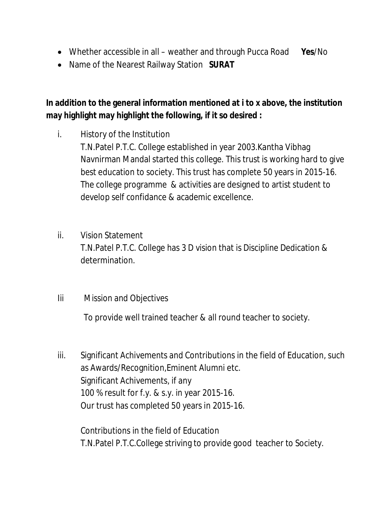- Whether accessible in all weather and through Pucca Road **Yes**/No
- Name of the Nearest Railway Station **SURAT**

# **In addition to the general information mentioned at i to x above, the institution may highlight may highlight the following, if it so desired :**

- i. History of the Institution T.N.Patel P.T.C. College established in year 2003.Kantha Vibhag Navnirman Mandal started this college. This trust is working hard to give best education to society. This trust has complete 50 years in 2015-16. The college programme & activities are designed to artist student to develop self confidance & academic excellence.
- ii. Vision Statement T.N.Patel P.T.C. College has 3 D vision that is Discipline Dedication & determination.
- Iii Mission and Objectives

To provide well trained teacher & all round teacher to society.

iii. Significant Achivements and Contributions in the field of Education, such as Awards/Recognition,Eminent Alumni etc. Significant Achivements, if any 100 % result for f.y. & s.y. in year 2015-16. Our trust has completed 50 years in 2015-16.

Contributions in the field of Education T.N.Patel P.T.C.College striving to provide good teacher to Society.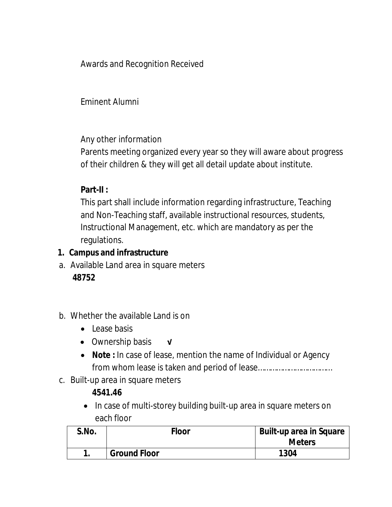Awards and Recognition Received

Eminent Alumni

Any other information

Parents meeting organized every year so they will aware about progress of their children & they will get all detail update about institute.

## **Part-II :**

This part shall include information regarding infrastructure, Teaching and Non-Teaching staff, available instructional resources, students, Instructional Management, etc. which are mandatory as per the regulations.

## **1. Campus and infrastructure**

- a. Available Land area in square meters **48752**
- b. Whether the available Land is on
	- Lease basis
	- Ownership basis **√**
	- **Note :** In case of lease, mention the name of Individual or Agency from whom lease is taken and period of lease………………………………
- c. Built-up area in square meters

## **4541.46**

• In case of multi-storey building built-up area in square meters on each floor

| S.No. | Floor               | <b>Built-up area in Square</b><br><b>Meters</b> |
|-------|---------------------|-------------------------------------------------|
|       | <b>Ground Floor</b> | 1304                                            |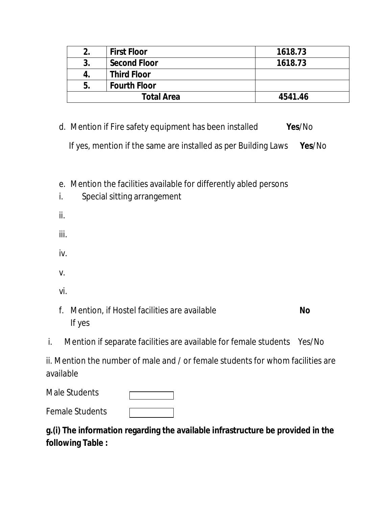|    | <b>First Floor</b>  | 1618.73 |
|----|---------------------|---------|
| 3. | <b>Second Floor</b> | 1618.73 |
| 4. | <b>Third Floor</b>  |         |
| 5. | <b>Fourth Floor</b> |         |
|    | <b>Total Area</b>   | 4541.46 |

- d. Mention if Fire safety equipment has been installed **Yes**/No If yes, mention if the same are installed as per Building Laws **Yes**/No
- e. Mention the facilities available for differently abled persons

| i.       | - - - -<br>Special sitting arrangement |
|----------|----------------------------------------|
| ii.      |                                        |
| iii.     |                                        |
| iv.      |                                        |
| V.       |                                        |
| vi.      |                                        |
| -<br>. . | $\mathbf{r}$<br><br>. .<br>            |

- f. Mention, if Hostel facilities are available **No** If yes
- i. Mention if separate facilities are available for female students Yes/No

ii. Mention the number of male and / or female students for whom facilities are available

Male Students

Female Students

| g.(i) The information regarding the available infrastructure be provided in the |  |
|---------------------------------------------------------------------------------|--|
| following Table :                                                               |  |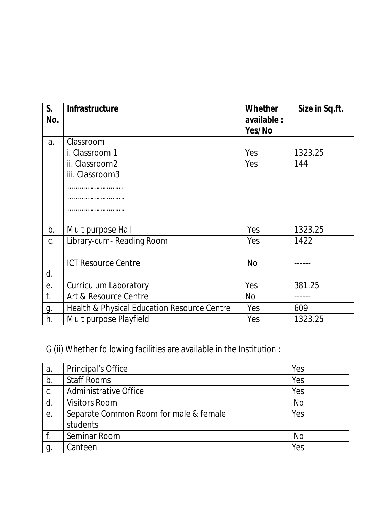| $S_{\cdot}$<br>No. | <b>Infrastructure</b>                       | <b>Whether</b><br>available :<br>Yes/No | Size in Sq.ft. |
|--------------------|---------------------------------------------|-----------------------------------------|----------------|
| a.                 | Classroom                                   |                                         |                |
|                    | i. Classroom 1                              | Yes                                     | 1323.25        |
|                    | ii. Classroom2                              | Yes                                     | 144            |
|                    | iii. Classroom3                             |                                         |                |
|                    |                                             |                                         |                |
|                    |                                             |                                         |                |
|                    |                                             |                                         |                |
|                    |                                             |                                         |                |
| b.                 | Multipurpose Hall                           | Yes                                     | 1323.25        |
| C.                 | Library-cum- Reading Room                   | Yes                                     | 1422           |
|                    |                                             |                                         |                |
|                    | <b>ICT Resource Centre</b>                  | <b>No</b>                               |                |
| d.                 |                                             |                                         |                |
| е.                 | <b>Curriculum Laboratory</b>                | Yes                                     | 381.25         |
| f.                 | Art & Resource Centre                       | <b>No</b>                               |                |
| g.                 | Health & Physical Education Resource Centre | Yes                                     | 609            |
| h.                 | <b>Multipurpose Playfield</b>               | Yes                                     | 1323.25        |

G (ii) Whether following facilities are available in the Institution :

| a. | <b>Principal's Office</b>              | Yes       |
|----|----------------------------------------|-----------|
| b. | <b>Staff Rooms</b>                     | Yes       |
| C. | <b>Administrative Office</b>           | Yes       |
| d. | <b>Visitors Room</b>                   | <b>No</b> |
| е. | Separate Common Room for male & female | Yes       |
|    | students                               |           |
|    | Seminar Room                           | No        |
| g  | Canteen                                | Yes       |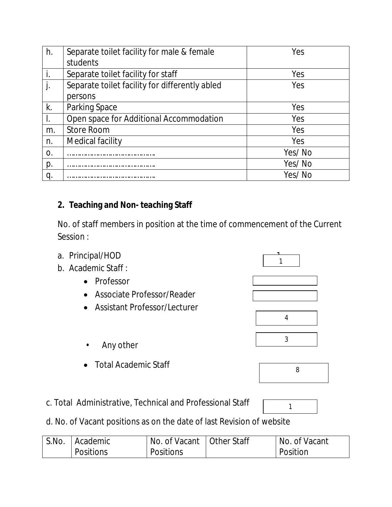| h. | Separate toilet facility for male & female     | Yes    |
|----|------------------------------------------------|--------|
|    | students                                       |        |
| i. | Separate toilet facility for staff             | Yes    |
| j. | Separate toilet facility for differently abled | Yes    |
|    | persons                                        |        |
| k. | Parking Space                                  | Yes    |
| ı. | Open space for Additional Accommodation        | Yes    |
| m. | <b>Store Room</b>                              | Yes    |
| n. | Medical facility                               | Yes    |
| 0. |                                                | Yes/No |
| p. |                                                | Yes/No |
| q  |                                                | Yes/No |

### **2. Teaching and Non- teaching Staff**

No. of staff members in position at the time of commencement of the Current Session :

- a. Principal/HOD 1
- b. Academic Staff :
	- Professor
	- Associate Professor/Reader
	- Assistant Professor/Lecturer
		- Any other
	- Total Academic Staff
- c. Total Administrative, Technical and Professional Staff
- d. No. of Vacant positions as on the date of last Revision of website

| S.No. | Academic  | No. of Vacant   Other Staff | No. of Vacant |
|-------|-----------|-----------------------------|---------------|
|       | Positions | <b>Positions</b>            | Position      |





1

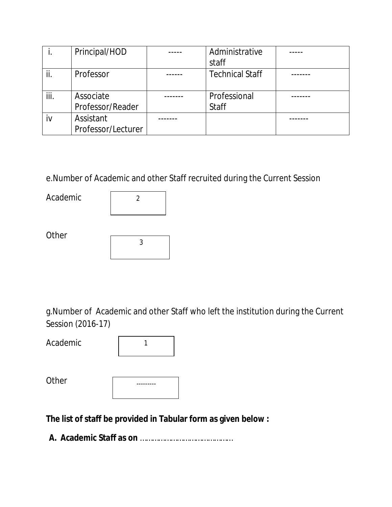|      | Principal/HOD      | Administrative         |  |
|------|--------------------|------------------------|--|
|      |                    | staff                  |  |
|      | Professor          | <b>Technical Staff</b> |  |
|      |                    |                        |  |
| iii. | Associate          | Professional           |  |
|      | Professor/Reader   | <b>Staff</b>           |  |
| iv   | Assistant          |                        |  |
|      | Professor/Lecturer |                        |  |

e.Number of Academic and other Staff recruited during the Current Session

Academic

| 2 |  |
|---|--|
|   |  |

**Other** 

g.Number of Academic and other Staff who left the institution during the Current Session (2016-17)

Academic

**Other** 

| --------- |  |
|-----------|--|
|           |  |
|           |  |

**The list of staff be provided in Tabular form as given below :**

**A. Academic Staff as on** ………………………………………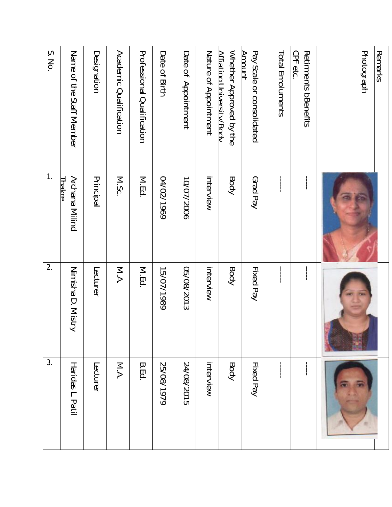| Remarks                                                    |                                                  |                                             |                  |
|------------------------------------------------------------|--------------------------------------------------|---------------------------------------------|------------------|
| Photograph                                                 |                                                  |                                             |                  |
| CPF etc.<br>Retirments bBenefits                           | ļ                                                | $\vdots$                                    | ļ                |
| Total Emoluments                                           | $\begin{bmatrix} 1 \\ 1 \\ 1 \\ 1 \end{bmatrix}$ | $\begin{bmatrix} 1 \\ 1 \\ 1 \end{bmatrix}$ | ļ                |
| Pay Scale or consolidated<br>Amount                        | Grad Pay                                         | Fixed Pay                                   | Fixed Pay        |
| Nether Approved by the<br><u>Affiating University/Body</u> | Body                                             | Body                                        | Body             |
| Nature of Appointment                                      | interview                                        | interview                                   | interview        |
| Date of Appointment                                        | 10/07/2006                                       | 05/08/2013                                  | 24/08/2015       |
| Date of Birth                                              | 04/02/1969                                       | 15/07/1989                                  | 25/08/1979       |
| <b>Professional Oralification</b>                          | M.Ed.                                            | M.Ed.                                       | <b>B.Ed.</b>     |
| <b>Academic Qualification</b>                              | M.Sc.                                            | M.A.                                        | <b>N.A</b>       |
| Designation                                                | Principal                                        | Lecturer                                    | Lecturer         |
| Name of the Staff Member                                   | Archana Milind<br><b>Lhakre</b>                  | Nimisha D. Mistry                           | Haridas L. Patil |
| S. No.                                                     | $\mathbf{1}$ .                                   | 2.                                          | 3.               |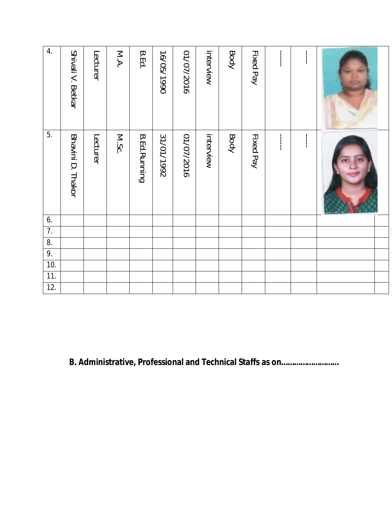| 4.               | Shivali V. Betkar | Lecturer | M.A.  | <b>B.Ed.</b>          | 16/05/1990 | 01/07/2016 | interview | Body | Fixed Pay | $\frac{1}{1}$ |  |  |
|------------------|-------------------|----------|-------|-----------------------|------------|------------|-----------|------|-----------|---------------|--|--|
| 5.               | Bhavini D. Thakor | Lecturer | M.Sc. | <b>B. Ed. Running</b> | 31/01/1992 | 01/07/2016 | interview | Body | Fixed Pay | $\frac{1}{1}$ |  |  |
| 6.               |                   |          |       |                       |            |            |           |      |           |               |  |  |
| $\overline{7}$ . |                   |          |       |                       |            |            |           |      |           |               |  |  |
| 8.               |                   |          |       |                       |            |            |           |      |           |               |  |  |
| 9.               |                   |          |       |                       |            |            |           |      |           |               |  |  |
| 10.              |                   |          |       |                       |            |            |           |      |           |               |  |  |
| 11.              |                   |          |       |                       |            |            |           |      |           |               |  |  |
| 12.              |                   |          |       |                       |            |            |           |      |           |               |  |  |

**B. Administrative, Professional and Technical Staffs as on………………………**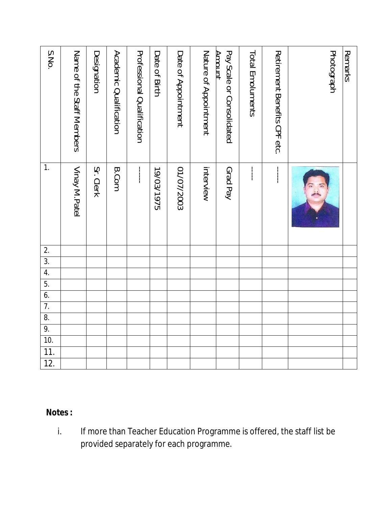| S.No.             | Name of the Staff Nembers | Designation | Academic Qualification | <b>Professional Qualification</b>                                                      | Date of Birth | Date of Appointment | Nature of Appointment | Pay Scale or Consolidated<br>Amount | Total Emoluments | Retirement Benefits CPF etc. | Photograph | Remarks |
|-------------------|---------------------------|-------------|------------------------|----------------------------------------------------------------------------------------|---------------|---------------------|-----------------------|-------------------------------------|------------------|------------------------------|------------|---------|
| 1.                | Vinay M.Patel             | Sr. Clerk   | <b>B.Com</b>           | $\begin{array}{c} \n\cdot & \cdot \\ \n\cdot & \cdot \\ \n\cdot & \cdot \n\end{array}$ | 19/03/1975    | 01/07/2003          | interview             | Grad Pay                            | $\frac{1}{1}$    | $\frac{1}{2}$                |            |         |
| 2.                |                           |             |                        |                                                                                        |               |                     |                       |                                     |                  |                              |            |         |
| $\overline{3}$ .  |                           |             |                        |                                                                                        |               |                     |                       |                                     |                  |                              |            |         |
| 4.                |                           |             |                        |                                                                                        |               |                     |                       |                                     |                  |                              |            |         |
| 5.                |                           |             |                        |                                                                                        |               |                     |                       |                                     |                  |                              |            |         |
| $\overline{6}$ .  |                           |             |                        |                                                                                        |               |                     |                       |                                     |                  |                              |            |         |
| 7.                |                           |             |                        |                                                                                        |               |                     |                       |                                     |                  |                              |            |         |
| 8.                |                           |             |                        |                                                                                        |               |                     |                       |                                     |                  |                              |            |         |
| 9.                |                           |             |                        |                                                                                        |               |                     |                       |                                     |                  |                              |            |         |
| 10.               |                           |             |                        |                                                                                        |               |                     |                       |                                     |                  |                              |            |         |
| $\overline{11}$ . |                           |             |                        |                                                                                        |               |                     |                       |                                     |                  |                              |            |         |
| 12.               |                           |             |                        |                                                                                        |               |                     |                       |                                     |                  |                              |            |         |

## **Notes :**

i. If more than Teacher Education Programme is offered, the staff list be provided separately for each programme.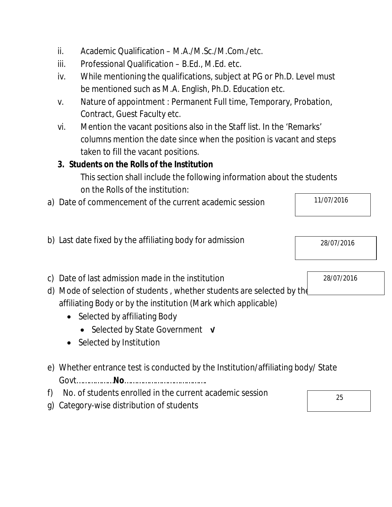- ii. Academic Qualification M.A./M.Sc./M.Com./etc.
- iii. Professional Qualification B.Ed., M.Ed. etc.
- iv. While mentioning the qualifications, subject at PG or Ph.D. Level must be mentioned such as M.A. English, Ph.D. Education etc.
- v. Nature of appointment : Permanent Full time, Temporary, Probation, Contract, Guest Faculty etc.
- vi. Mention the vacant positions also in the Staff list. In the 'Remarks' columns mention the date since when the position is vacant and steps taken to fill the vacant positions.

# **3. Students on the Rolls of the Institution**

This section shall include the following information about the students on the Rolls of the institution:

a) Date of commencement of the current academic session

| b) Last date fixed by the affiliating body for admission | 28/07/2016 |
|----------------------------------------------------------|------------|

- c) Date of last admission made in the institution
- d) Mode of selection of students , whether students are selected by the affiliating Body or by the institution (Mark which applicable)
	- Selected by affiliating Body
		- Selected by State Government **√**
	- Selected by Institution
- e) Whether entrance test is conducted by the Institution/affiliating body/ State Govt………………**No**………………………………….
- f) No. of students enrolled in the current academic session
- g) Category-wise distribution of students

28/07/2016

25

11/07/2016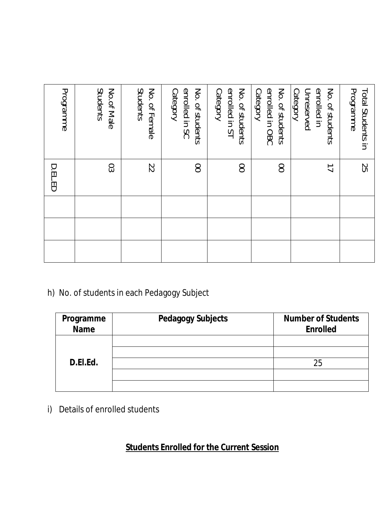| D.EL.ED | Programme                                                |
|---------|----------------------------------------------------------|
| CO      | No.of Male<br>Students                                   |
| 22      | No. of Female<br>Students                                |
| 8       | enrolled in SC<br>No. of students<br>Category            |
| 8       | enrolled in ST<br>No. of students<br>Category            |
| 8       | enrolled in OBC<br>No. of students<br>Category           |
| ゴ       | enrolled in<br>No. of students<br>Category<br>Unreserved |
| S5      | Programme<br>Total Students in                           |

# h) No. of students in each Pedagogy Subject

| Programme<br><b>Name</b> | <b>Pedagogy Subjects</b> | <b>Number of Students</b><br><b>Enrolled</b> |
|--------------------------|--------------------------|----------------------------------------------|
|                          |                          |                                              |
|                          |                          |                                              |
| D.EI.Ed.                 |                          | 25                                           |
|                          |                          |                                              |
|                          |                          |                                              |

i) Details of enrolled students

# **Students Enrolled for the Current Session**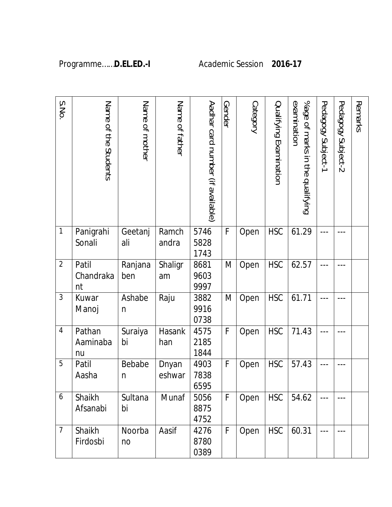| S.No           | Name of the Students     | Name of mother         | Name of father  | Aadhar card number (if available) | Gender | Category | Qualifying Examination | %age of marks in the qualifying<br>examination | Pedagogy Subject-1 | Pedagogy Subject-2 | Remarks |
|----------------|--------------------------|------------------------|-----------------|-----------------------------------|--------|----------|------------------------|------------------------------------------------|--------------------|--------------------|---------|
| $\mathbf{1}$   | Panigrahi<br>Sonali      | Geetanj<br>ali         | Ramch<br>andra  | 5746<br>5828<br>1743              | F      | Open     | <b>HSC</b>             | 61.29                                          | ---                |                    |         |
| $\overline{2}$ | Patil<br>Chandraka<br>nt | Ranjana<br>ben         | Shaligr<br>am   | 8681<br>9603<br>9997              | M      | Open     | <b>HSC</b>             | 62.57                                          |                    |                    |         |
| 3              | Kuwar<br>Manoj           | Ashabe<br>n            | Raju            | 3882<br>9916<br>0738              | M      | Open     | <b>HSC</b>             | 61.71                                          |                    |                    |         |
| $\overline{4}$ | Pathan<br>Aaminaba<br>nu | Suraiya<br>bi          | Hasank<br>han   | 4575<br>2185<br>1844              | F      | Open     | <b>HSC</b>             | 71.43                                          |                    |                    |         |
| 5              | Patil<br>Aasha           | Bebabe<br>$\mathsf{n}$ | Dnyan<br>eshwar | 4903<br>7838<br>6595              | F      | Open     | <b>HSC</b>             | 57.43                                          |                    |                    |         |
| 6              | Shaikh<br>Afsanabi       | Sultana<br>bi          | Munaf           | 5056<br>8875<br>4752              | F      | Open     | <b>HSC</b>             | 54.62                                          | ---                | $- - -$            |         |
| $\overline{7}$ | Shaikh<br>Firdosbi       | Noorba<br>no           | Aasif           | 4276<br>8780<br>0389              | F      | Open     | <b>HSC</b>             | 60.31                                          | $---$              |                    |         |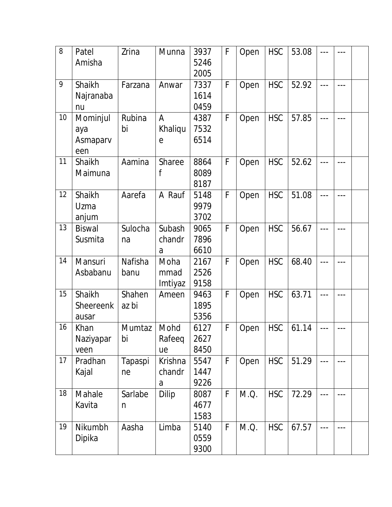| 8  | Patel            | Zrina   | Munna        | 3937 | F | Open | <b>HSC</b> | 53.08 | $---$   |         |  |
|----|------------------|---------|--------------|------|---|------|------------|-------|---------|---------|--|
|    | Amisha           |         |              | 5246 |   |      |            |       |         |         |  |
|    |                  |         |              | 2005 |   |      |            |       |         |         |  |
| 9  | Shaikh           | Farzana | Anwar        | 7337 | F | Open | <b>HSC</b> | 52.92 | $---$   |         |  |
|    | Najranaba        |         |              | 1614 |   |      |            |       |         |         |  |
|    | nu               |         |              | 0459 |   |      |            |       |         |         |  |
| 10 | Mominjul         | Rubina  | A            | 4387 | F | Open | <b>HSC</b> | 57.85 | $---$   | $---$   |  |
|    | aya              | bi      | Khaliqu      | 7532 |   |      |            |       |         |         |  |
|    | Asmaparv         |         | $\mathsf{e}$ | 6514 |   |      |            |       |         |         |  |
|    | een              |         |              |      |   |      |            |       |         |         |  |
| 11 | Shaikh           | Aamina  | Sharee       | 8864 | F | Open | <b>HSC</b> | 52.62 | $- - -$ | ---     |  |
|    | Maimuna          |         | f            | 8089 |   |      |            |       |         |         |  |
|    |                  |         |              | 8187 |   |      |            |       |         |         |  |
| 12 | Shaikh           | Aarefa  | A Rauf       | 5148 | F | Open | <b>HSC</b> | 51.08 | ---     | $---$   |  |
|    | Uzma             |         |              | 9979 |   |      |            |       |         |         |  |
|    | anjum            |         |              | 3702 |   |      |            |       |         |         |  |
| 13 | <b>Biswal</b>    | Sulocha | Subash       | 9065 | F | Open | <b>HSC</b> | 56.67 | $- - -$ |         |  |
|    | Susmita          | na      | chandr       | 7896 |   |      |            |       |         |         |  |
|    |                  |         | a            | 6610 |   |      |            |       |         |         |  |
| 14 | Mansuri          | Nafisha | Moha         | 2167 | F | Open | <b>HSC</b> | 68.40 | $---$   | ---     |  |
|    | Asbabanu         | banu    | mmad         | 2526 |   |      |            |       |         |         |  |
|    |                  |         | Imtiyaz      | 9158 |   |      |            |       |         |         |  |
| 15 | Shaikh           | Shahen  | Ameen        | 9463 | F | Open | <b>HSC</b> | 63.71 | $---$   | $---$   |  |
|    | <b>Sheereenk</b> | az bi   |              | 1895 |   |      |            |       |         |         |  |
|    | ausar            |         |              | 5356 |   |      |            |       |         |         |  |
| 16 | Khan             | Mumtaz  | Mohd         | 6127 | F | Open | <b>HSC</b> | 61.14 |         |         |  |
|    | Naziyapar        | bi      | Rafeeq       | 2627 |   |      |            |       |         |         |  |
|    | veen             |         | ue           | 8450 |   |      |            |       |         |         |  |
| 17 | Pradhan          | Tapaspi | Krishna      | 5547 | F | Open | <b>HSC</b> | 51.29 | $- - -$ | $---$   |  |
|    | Kajal            | ne      | chandr       | 1447 |   |      |            |       |         |         |  |
|    |                  |         | a            | 9226 |   |      |            |       |         |         |  |
| 18 | Mahale           | Sarlabe | Dilip        | 8087 | F | M.Q. | <b>HSC</b> | 72.29 | $- - -$ |         |  |
|    | Kavita           | n       |              | 4677 |   |      |            |       |         |         |  |
|    |                  |         |              | 1583 |   |      |            |       |         |         |  |
| 19 | Nikumbh          | Aasha   | Limba        | 5140 | F | M.Q. | <b>HSC</b> | 67.57 | $- - -$ | $- - -$ |  |
|    | Dipika           |         |              | 0559 |   |      |            |       |         |         |  |
|    |                  |         |              | 9300 |   |      |            |       |         |         |  |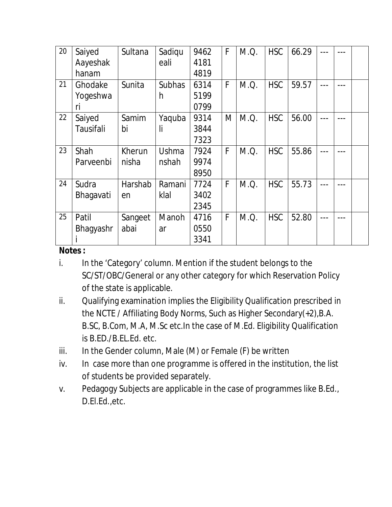| 20 | Saiyed    | Sultana | Sadiqu        | 9462 | F | M.Q. | <b>HSC</b> | 66.29 |  |  |
|----|-----------|---------|---------------|------|---|------|------------|-------|--|--|
|    | Aayeshak  |         | eali          | 4181 |   |      |            |       |  |  |
|    | hanam     |         |               | 4819 |   |      |            |       |  |  |
| 21 | Ghodake   | Sunita  | <b>Subhas</b> | 6314 | F | M.Q. | <b>HSC</b> | 59.57 |  |  |
|    | Yogeshwa  |         | h             | 5199 |   |      |            |       |  |  |
|    | ri        |         |               | 0799 |   |      |            |       |  |  |
| 22 | Saiyed    | Samim   | Yaquba        | 9314 | M | M.Q. | <b>HSC</b> | 56.00 |  |  |
|    | Tausifali | bi      | li            | 3844 |   |      |            |       |  |  |
|    |           |         |               | 7323 |   |      |            |       |  |  |
| 23 | Shah      | Kherun  | Ushma         | 7924 | F | M.Q. | <b>HSC</b> | 55.86 |  |  |
|    | Parveenbi | nisha   | nshah         | 9974 |   |      |            |       |  |  |
|    |           |         |               | 8950 |   |      |            |       |  |  |
| 24 | Sudra     | Harshab | Ramani        | 7724 | F | M.Q. | <b>HSC</b> | 55.73 |  |  |
|    | Bhagavati | en      | klal          | 3402 |   |      |            |       |  |  |
|    |           |         |               | 2345 |   |      |            |       |  |  |
| 25 | Patil     | Sangeet | Manoh         | 4716 | F | M.Q. | <b>HSC</b> | 52.80 |  |  |
|    | Bhagyashr | abai    | ar            | 0550 |   |      |            |       |  |  |
|    |           |         |               | 3341 |   |      |            |       |  |  |

#### **Notes :**

- i. In the 'Category' column. Mention if the student belongs to the SC/ST/OBC/General or any other category for which Reservation Policy of the state is applicable.
- ii. Qualifying examination implies the Eligibility Qualification prescribed in the NCTE / Affiliating Body Norms, Such as Higher Secondary(+2),B.A. B.SC, B.Com, M.A, M.Sc etc.In the case of M.Ed. Eligibility Qualification is B.ED./B.EL.Ed. etc.
- iii. In the Gender column, Male  $(M)$  or Female  $(F)$  be written
- iv. In case more than one programme is offered in the institution, the list of students be provided separately.
- v. Pedagogy Subjects are applicable in the case of programmes like B.Ed., D.El.Ed.,etc.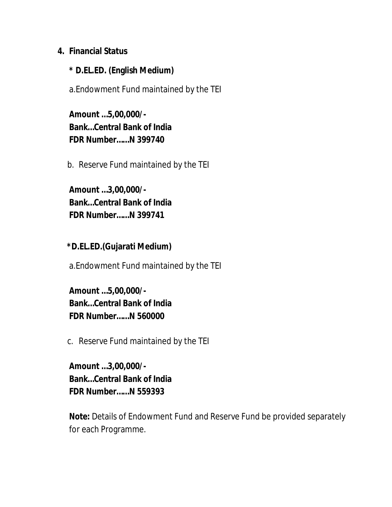#### **4. Financial Status**

#### **\* D.EL.ED. (English Medium)**

a.Endowment Fund maintained by the TEI

**Amount …5,00,000/- Bank…Central Bank of India FDR Number……N 399740**

b. Reserve Fund maintained by the TEI

**Amount …3,00,000/- Bank…Central Bank of India FDR Number……N 399741**

**\*D.EL.ED.(Gujarati Medium)**

a.Endowment Fund maintained by the TEI

**Amount …5,00,000/- Bank…Central Bank of India FDR Number……N 560000**

c. Reserve Fund maintained by the TEI

**Amount …3,00,000/- Bank…Central Bank of India FDR Number……N 559393** 

**Note:** Details of Endowment Fund and Reserve Fund be provided separately for each Programme.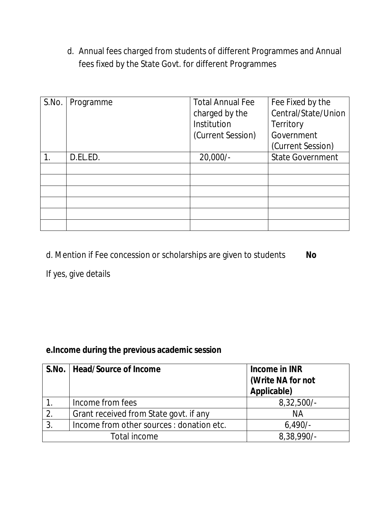d. Annual fees charged from students of different Programmes and Annual fees fixed by the State Govt. for different Programmes

| S.No. | Programme | <b>Total Annual Fee</b> | Fee Fixed by the        |
|-------|-----------|-------------------------|-------------------------|
|       |           | charged by the          | Central/State/Union     |
|       |           | Institution             | Territory               |
|       |           | (Current Session)       | Government              |
|       |           |                         | (Current Session)       |
|       | D.EL.ED.  | $20,000/-$              | <b>State Government</b> |
|       |           |                         |                         |
|       |           |                         |                         |
|       |           |                         |                         |
|       |           |                         |                         |
|       |           |                         |                         |
|       |           |                         |                         |

d. Mention if Fee concession or scholarships are given to students **No**

If yes, give details

## **e.Income during the previous academic session**

|    | S.No.   Head/Source of Income             | Income in INR     |
|----|-------------------------------------------|-------------------|
|    |                                           | (Write NA for not |
|    |                                           | Applicable)       |
|    | Income from fees                          | $8,32,500/-$      |
| 2. | Grant received from State govt. if any    | ΝA                |
| 3. | Income from other sources : donation etc. | $6,490/-$         |
|    | Total income                              | 8,38,990/-        |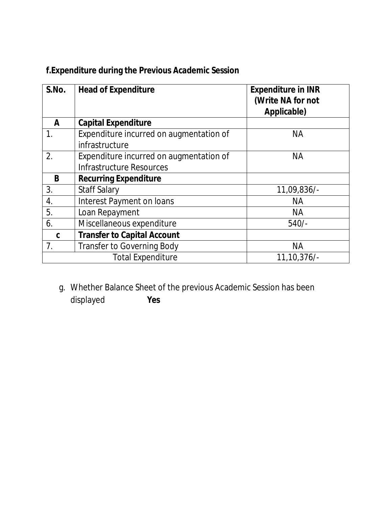| S.No. | <b>Head of Expenditure</b>                                | <b>Expenditure in INR</b><br>(Write NA for not<br>Applicable) |
|-------|-----------------------------------------------------------|---------------------------------------------------------------|
| A     | <b>Capital Expenditure</b>                                |                                                               |
| 1.    | Expenditure incurred on augmentation of<br>infrastructure | <b>NA</b>                                                     |
| 2.    | Expenditure incurred on augmentation of                   | <b>NA</b>                                                     |
|       | Infrastructure Resources                                  |                                                               |
| B     | <b>Recurring Expenditure</b>                              |                                                               |
| 3.    | <b>Staff Salary</b>                                       | 11,09,836/-                                                   |
| 4.    | Interest Payment on loans                                 | <b>NA</b>                                                     |
| 5.    | Loan Repayment                                            | <b>NA</b>                                                     |
| 6.    | Miscellaneous expenditure                                 | $540/-$                                                       |
| C     | <b>Transfer to Capital Account</b>                        |                                                               |
| 7.    | <b>Transfer to Governing Body</b>                         | <b>NA</b>                                                     |
|       | <b>Total Expenditure</b>                                  | 11,10,376/                                                    |

## **f.Expenditure during the Previous Academic Session**

g. Whether Balance Sheet of the previous Academic Session has been displayed **Yes**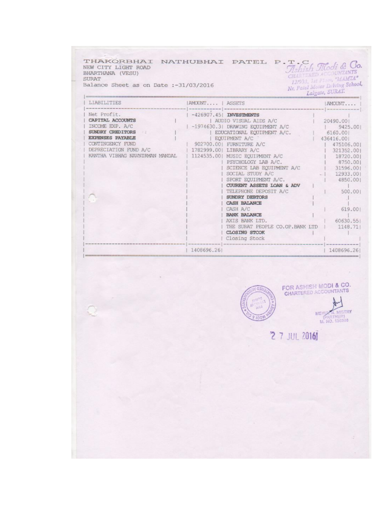| LIABILITIES                                                                                                                                                                      | AMOUNT   ASSETS |                                                                                                                                                                                                                                                                                                                                                                                                                                                                                                                                                | Nr. Patel Motor Driving School,<br>Lalgate, SURAT.<br>AMOUNT                                                                                                                                                                |
|----------------------------------------------------------------------------------------------------------------------------------------------------------------------------------|-----------------|------------------------------------------------------------------------------------------------------------------------------------------------------------------------------------------------------------------------------------------------------------------------------------------------------------------------------------------------------------------------------------------------------------------------------------------------------------------------------------------------------------------------------------------------|-----------------------------------------------------------------------------------------------------------------------------------------------------------------------------------------------------------------------------|
| Net Profit.<br>CAPITAL ACCOUNTS<br>INCOME EXP. A/C<br>SUNDRY CREDITORS<br><b>EXPENSES PAYABLE</b><br>CONTINGENCY FUND<br>DEPRECIATION FUND A/C<br>KANTHA VIBHAG NAVNIRMAN MANDAL |                 | $-426907.45$ INVESTMENTS<br>  AUDIO VISUAL AIDS A/C<br>  -1974630.3  DRAWING EOUIPMENT A/C<br>  EDUCATIONAL EQUIPMENT A/C.<br>  EQUIPMENT A/C<br>902700.001 FURNITURE A/C<br>1782999.00  LIBRARY A/C<br>1124535.00  MUSIC EQUIPMENT A/C<br>  PSYCHOLOGY LAB A/C.<br>SCIENCE LAB EQUIPMENT A/C<br>SOCIAL STUDY A/C<br>SPORT EQUIPMENT A/C.<br>CUURENT ASSETS LOAN & ADV<br>TELEPHONE DEPOSIT A/C<br>SUNDRY DEBTORS<br>CASH BALANCE<br>CASH A/C<br>BANK BALANCE<br>AXIS BANK LTD.<br>THE SURAT PEOPLE CO.OP. BANK LTD   1148.71<br>CLOSING STCOK | The contract that the form into the same state and<br>20490.001<br>9425.00<br>6160.00<br>436416.001<br>475106.00<br>321352.001<br>18720.001<br>8750.00<br>31596.001<br>12933.001<br>4850.00<br>500.00<br>619.00<br>60630.55 |
|                                                                                                                                                                                  |                 | Closing Stock                                                                                                                                                                                                                                                                                                                                                                                                                                                                                                                                  |                                                                                                                                                                                                                             |
|                                                                                                                                                                                  | 1408696.261     |                                                                                                                                                                                                                                                                                                                                                                                                                                                                                                                                                | 1408696.26                                                                                                                                                                                                                  |
|                                                                                                                                                                                  |                 | 03<br>1433<br>P IOOV                                                                                                                                                                                                                                                                                                                                                                                                                                                                                                                           | FOR ASHISH MODI & CO.<br><b>CHARTERED ACCOUNTANTS</b><br>N. MISTRY<br>MEHUZ<br><b>ARTNERI</b><br><b>M. NO. 136988</b>                                                                                                       |
|                                                                                                                                                                                  |                 | <b>2 7 JUL 2016</b>                                                                                                                                                                                                                                                                                                                                                                                                                                                                                                                            |                                                                                                                                                                                                                             |
|                                                                                                                                                                                  |                 |                                                                                                                                                                                                                                                                                                                                                                                                                                                                                                                                                |                                                                                                                                                                                                                             |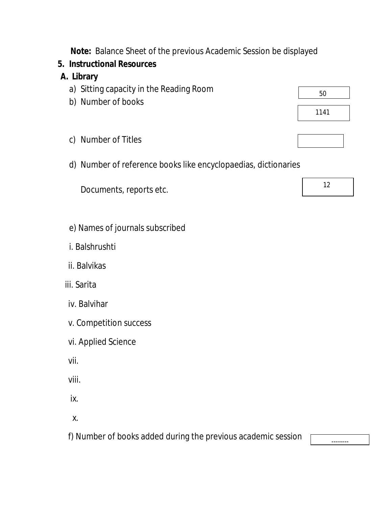**Note:** Balance Sheet of the previous Academic Session be displayed

### **5. Instructional Resources**

### **A. Library**

- a) Sitting capacity in the Reading Room
- b) Number of books
- c) Number of Titles
- d) Number of reference books like encyclopaedias, dictionaries

Documents, reports etc.

- e) Names of journals subscribed
- i. Balshrushti
- ii. Balvikas
- iii. Sarita
- iv. Balvihar
- v. Competition success
- vi. Applied Science
- vii.

viii.

ix.

x.

f) Number of books added during the previous academic session

--------

50

1141

12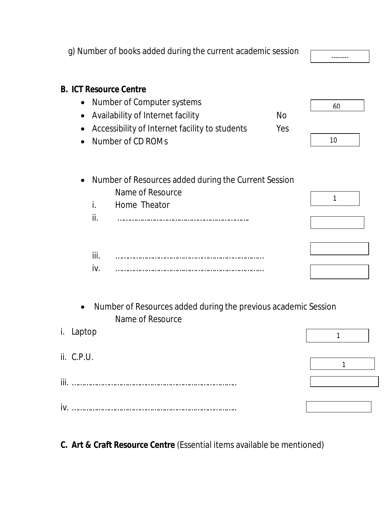|                                     |             | g) Number of books added during the current academic session                                                                                                            |                  |          |
|-------------------------------------|-------------|-------------------------------------------------------------------------------------------------------------------------------------------------------------------------|------------------|----------|
| $\bullet$<br>$\bullet$<br>$\bullet$ |             | <b>B. ICT Resource Centre</b><br>Number of Computer systems<br>Availability of Internet facility<br>Accessibility of Internet facility to students<br>Number of CD ROMs | <b>No</b><br>Yes | 60<br>10 |
|                                     | i.<br>ii.   | Number of Resources added during the Current Session<br>Name of Resource<br>Home Theator                                                                                |                  | 1        |
|                                     | iii.<br>iv. |                                                                                                                                                                         |                  |          |
| i. Laptop                           |             | Number of Resources added during the previous academic Session<br>Name of Resource                                                                                      |                  |          |
| ii. C.P.U.                          |             |                                                                                                                                                                         |                  | 1        |
|                                     |             |                                                                                                                                                                         |                  |          |

**C. Art & Craft Resource Centre** (Essential items available be mentioned)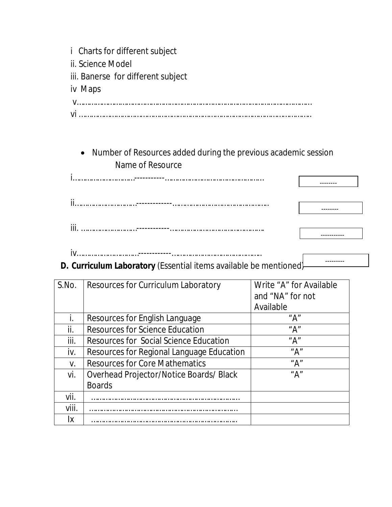- i Charts for different subject
- ii. Science Model

iii. Banerse for different subject

iv Maps

v……………………………………………………………………………………………………

vi …………………………………………………………………………………………………..

## Number of Resources added during the previous academic session Name of Resource

| <b>iii</b> |  |
|------------|--|

---------

iv…………………………------------……………………………………..

# **D. Curriculum Laboratory** (Essential items available be mentioned)

| S.No. | Resources for Curriculum Laboratory       | Write "A" for Available |
|-------|-------------------------------------------|-------------------------|
|       |                                           | and "NA" for not        |
|       |                                           | Available               |
| İ.    | Resources for English Language            | " $A$ "                 |
| ii.   | <b>Resources for Science Education</b>    | " $A$ "                 |
| iii.  | Resources for Social Science Education    | "A"                     |
| İV.   | Resources for Regional Language Education | "A"                     |
| V.    | <b>Resources for Core Mathematics</b>     | " $A$ "                 |
| Vİ.   | Overhead Projector/Notice Boards/ Black   | "A"                     |
|       | <b>Boards</b>                             |                         |
| vii.  |                                           |                         |
| viii. |                                           |                         |
| Iх    |                                           |                         |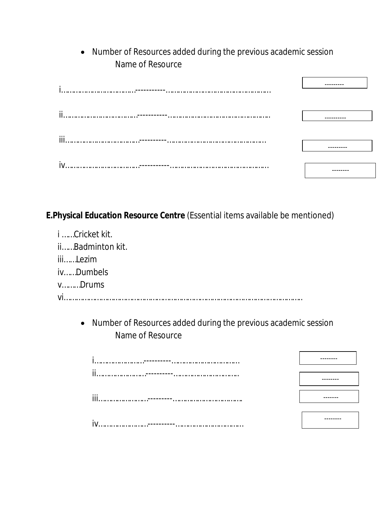Number of Resources added during the previous academic session Name of Resource

| ٠    |  |
|------|--|
| ji.  |  |
| iii. |  |
| iv   |  |

**E.Physical Education Resource Centre** (Essential items available be mentioned)

| i Cricket kit.               |
|------------------------------|
| iiBadminton kit.             |
| iiiLezim                     |
| ivDumbels                    |
| $v_{\dots}, v_{\dots}$ Drums |
|                              |

 Number of Resources added during the previous academic session Name of Resource

| -ii |  |
|-----|--|
| iii |  |
|     |  |
|     |  |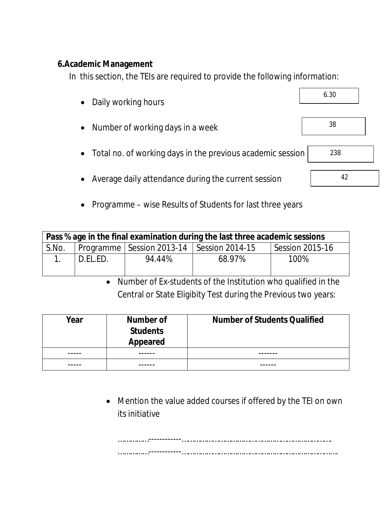#### **6.Academic Management**

In this section, the TEIs are required to provide the following information:

| • Daily working hours                                        | 6.30 |
|--------------------------------------------------------------|------|
| • Number of working days in a week                           | 38   |
| • Total no. of working days in the previous academic session | 238  |
| • Average daily attendance during the current session        | 42   |

• Programme – wise Results of Students for last three years

| Pass % age in the final examination during the last three academic sessions |          |                                               |        |                 |  |
|-----------------------------------------------------------------------------|----------|-----------------------------------------------|--------|-----------------|--|
| S.No.                                                                       |          | Programme   Session 2013-14   Session 2014-15 |        | Session 2015-16 |  |
|                                                                             | D.EL.ED. | 94.44%                                        | 68.97% | 100%            |  |

 Number of Ex-students of the Institution who qualified in the Central or State Eligibity Test during the Previous two years:

| Year | Number of<br><b>Students</b><br>Appeared | <b>Number of Students Qualified</b> |
|------|------------------------------------------|-------------------------------------|
|      |                                          |                                     |
|      |                                          |                                     |

 Mention the value added courses if offered by the TEI on own its initiative

……………------------………………………………………………………………. ……………------------………………………………………………………………….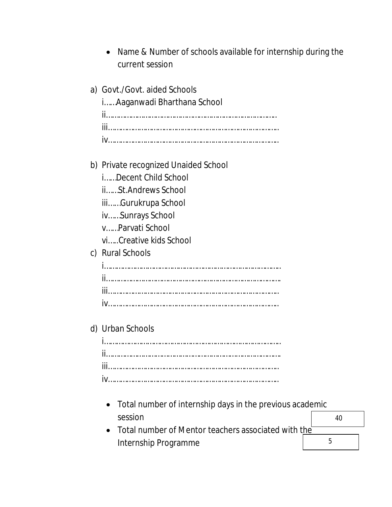Name & Number of schools available for internship during the current session

| a) Govt./Govt. aided Schools<br>i Aaganwadi Bharthana School        |
|---------------------------------------------------------------------|
|                                                                     |
|                                                                     |
| b) Private recognized Unaided School                                |
| iDecent Child School                                                |
| iiSt.Andrews School                                                 |
| iiiGurukrupa School                                                 |
| ivSunrays School                                                    |
| vParvati School                                                     |
| viCreative kids School                                              |
| c) Rural Schools                                                    |
|                                                                     |
|                                                                     |
|                                                                     |
|                                                                     |
| d) Urban Schools                                                    |
|                                                                     |
|                                                                     |
| iii                                                                 |
|                                                                     |
| Total number of internship days in the previous academic<br>session |

• Total number of Mentor teachers associated with the Internship Programme 5

40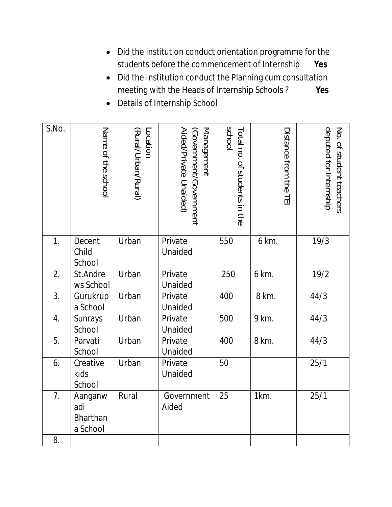- Did the institution conduct orientation programme for the students before the commencement of Internship **Yes**
- Did the Institution conduct the Planning cum consultation meeting with the Heads of Internship Schools ? **Yes**
- Details of Internship School

| S.No. | Name of the school                            | Location<br>(Rural/Urban/Rural) | <b>Management</b><br>Aided/Private Unaided)<br>(Government/Government | <b>school</b><br>Total no. of students in the | Distance from the TEI | deputed for Internship<br>No. of student teachers |
|-------|-----------------------------------------------|---------------------------------|-----------------------------------------------------------------------|-----------------------------------------------|-----------------------|---------------------------------------------------|
| 1.    | Decent<br>Child<br>School                     | Urban                           | Private<br>Unaided                                                    | 550                                           | 6 km.                 | 19/3                                              |
| 2.    | St.Andre<br>ws School                         | Urban                           | Private<br>Unaided                                                    | 250                                           | 6 km.                 | 19/2                                              |
| 3.    | Gurukrup<br>a School                          | Urban                           | Private<br>Unaided                                                    | 400                                           | 8 km.                 | 44/3                                              |
| 4.    | Sunrays<br>School                             | Urban                           | Private<br>Unaided                                                    | 500                                           | 9 km.                 | 44/3                                              |
| 5.    | Parvati<br>School                             | Urban                           | Private<br>Unaided                                                    | 400                                           | 8 km.                 | 44/3                                              |
| 6.    | Creative<br>kids<br>School                    | Urban                           | Private<br>Unaided                                                    | 50                                            |                       | 25/1                                              |
| 7.    | Aanganw<br>adi<br><b>Bharthan</b><br>a School | Rural                           | Government<br>Aided                                                   | 25                                            | 1km.                  | 25/1                                              |
| 8.    |                                               |                                 |                                                                       |                                               |                       |                                                   |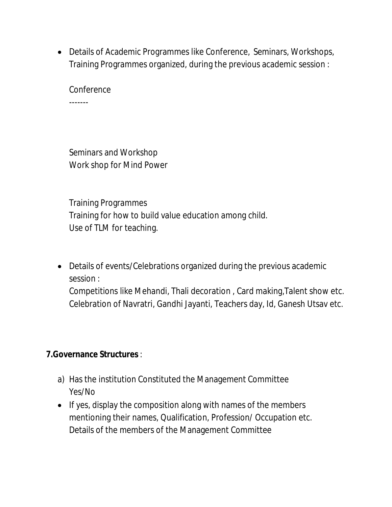Details of Academic Programmes like Conference, Seminars, Workshops, Training Programmes organized, during the previous academic session :

**Conference** -------

Seminars and Workshop Work shop for Mind Power

Training Programmes Training for how to build value education among child. Use of TLM for teaching.

 Details of events/Celebrations organized during the previous academic session :

Competitions like Mehandi, Thali decoration , Card making,Talent show etc. Celebration of Navratri, Gandhi Jayanti, Teachers day, Id, Ganesh Utsav etc.

### **7.Governance Structures** :

- a) Has the institution Constituted the Management Committee Yes/No
- $\bullet$  If yes, display the composition along with names of the members mentioning their names, Qualification, Profession/ Occupation etc. Details of the members of the Management Committee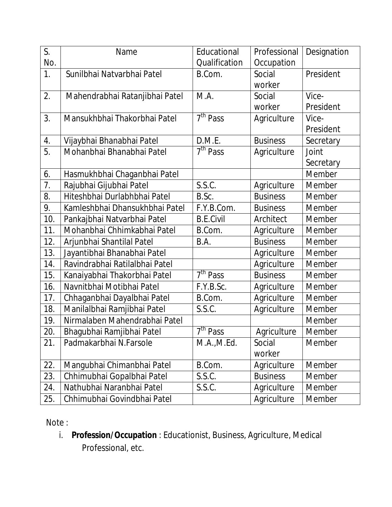| S.  | Name                           | Educational                     | Professional    | Designation   |
|-----|--------------------------------|---------------------------------|-----------------|---------------|
| No. |                                | Qualification                   | Occupation      |               |
| 1.  | Sunilbhai Natvarbhai Patel     | B.Com.                          | Social          | President     |
|     |                                |                                 | worker          |               |
| 2.  | Mahendrabhai Ratanjibhai Patel | M.A.                            | Social          | Vice-         |
|     |                                |                                 | worker          | President     |
| 3.  | Mansukhbhai Thakorbhai Patel   | 7 <sup>th</sup> Pass            | Agriculture     | Vice-         |
|     |                                |                                 |                 | President     |
| 4.  | Vijaybhai Bhanabhai Patel      | D.M.E.                          | <b>Business</b> | Secretary     |
| 5.  | Mohanbhai Bhanabhai Patel      | 7 <sup>th</sup> Pass            | Agriculture     | Joint         |
|     |                                |                                 |                 | Secretary     |
| 6.  | Hasmukhbhai Chaganbhai Patel   |                                 |                 | Member        |
| 7.  | Rajubhai Gijubhai Patel        | S.S.C.                          | Agriculture     | Member        |
| 8.  | Hiteshbhai Durlabhbhai Patel   | B.Sc.                           | <b>Business</b> | Member        |
| 9.  | Kamleshbhai Dhansukhbhai Patel | F.Y.B.Com.                      | <b>Business</b> | <b>Member</b> |
| 10. | Pankajbhai Natvarbhai Patel    | <b>B.E.Civil</b>                | Architect       | Member        |
| 11. | Mohanbhai Chhimkabhai Patel    | B.Com.                          | Agriculture     | <b>Member</b> |
| 12. | Arjunbhai Shantilal Patel      | B.A.                            | <b>Business</b> | Member        |
| 13. | Jayantibhai Bhanabhai Patel    |                                 | Agriculture     | Member        |
| 14. | Ravindrabhai Ratilalbhai Patel |                                 | Agriculture     | Member        |
| 15. | Kanaiyabhai Thakorbhai Patel   | $\overline{7}^{\text{th}}$ Pass | <b>Business</b> | Member        |
| 16. | Navnitbhai Motibhai Patel      | F.Y.B.Sc.                       | Agriculture     | Member        |
| 17. | Chhaganbhai Dayalbhai Patel    | B.Com.                          | Agriculture     | Member        |
| 18. | Manilalbhai Ramjibhai Patel    | S.S.C.                          | Agriculture     | Member        |
| 19. | Nirmalaben Mahendrabhai Patel  |                                 |                 | Member        |
| 20. | Bhagubhai Ramjibhai Patel      | 7 <sup>th</sup> Pass            | Agriculture     | Member        |
| 21. | Padmakarbhai N.Farsole         | M.A., M.Ed.                     | Social          | Member        |
|     |                                |                                 | worker          |               |
| 22. | Mangubhai Chimanbhai Patel     | B.Com.                          | Agriculture     | Member        |
| 23. | Chhimubhai Gopalbhai Patel     | S.S.C.                          | <b>Business</b> | Member        |
| 24. | Nathubhai Naranbhai Patel      | S.S.C.                          | Agriculture     | Member        |
| 25. | Chhimubhai Govindbhai Patel    |                                 | Agriculture     | Member        |

Note :

i. **Profession/Occupation** : Educationist, Business, Agriculture, Medical Professional, etc.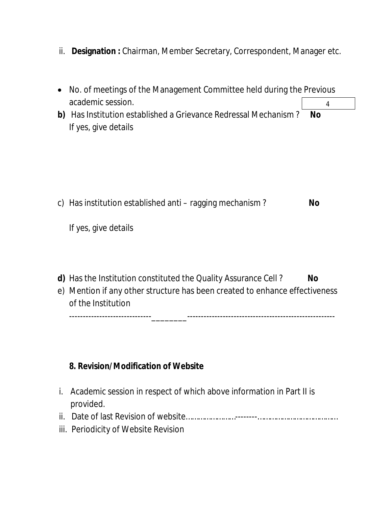ii. **Designation :** Chairman, Member Secretary, Correspondent, Manager etc.

| No. of meetings of the Management Committee held during the Previous                                         |                |  |  |
|--------------------------------------------------------------------------------------------------------------|----------------|--|--|
| academic session.<br>b) Has Institution established a Grievance Redressal Mechanism?<br>If yes, give details | 4<br><b>No</b> |  |  |
| c) Has institution established anti – ragging mechanism?<br>If yes, give details                             | <b>No</b>      |  |  |
| d) Has the Institution constituted the Quality Assurance Cell?                                               | No             |  |  |

e) Mention if any other structure has been created to enhance effectiveness of the Institution

------------------------------\_\_\_\_\_\_\_\_------------------------------------------------------

#### **8. Revision/Modification of Website**

- i. Academic session in respect of which above information in Part II is provided.
- ii. Date of last Revision of website……………………--------…………………………………
- iii. Periodicity of Website Revision